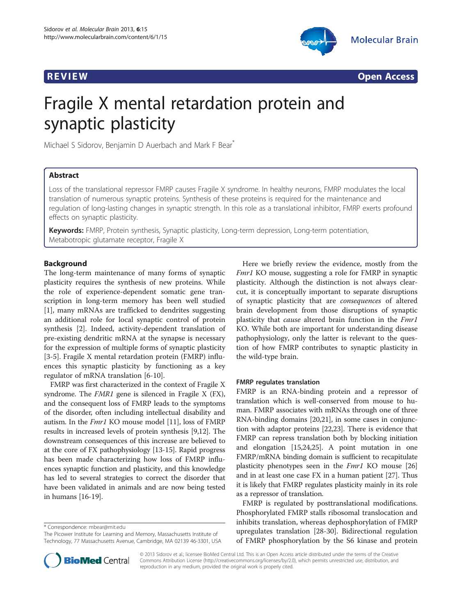

**REVIEW CONSTRUCTION CONSTRUCTION CONSTRUCTS** 

# Fragile X mental retardation protein and synaptic plasticity

Michael S Sidorov, Benjamin D Auerbach and Mark F Bear<sup>®</sup>

# Abstract

Loss of the translational repressor FMRP causes Fragile X syndrome. In healthy neurons, FMRP modulates the local translation of numerous synaptic proteins. Synthesis of these proteins is required for the maintenance and regulation of long-lasting changes in synaptic strength. In this role as a translational inhibitor, FMRP exerts profound effects on synaptic plasticity.

Keywords: FMRP, Protein synthesis, Synaptic plasticity, Long-term depression, Long-term potentiation, Metabotropic glutamate receptor, Fragile X

# Background

The long-term maintenance of many forms of synaptic plasticity requires the synthesis of new proteins. While the role of experience-dependent somatic gene transcription in long-term memory has been well studied [1], many mRNAs are trafficked to dendrites suggesting an additional role for local synaptic control of protein synthesis [2]. Indeed, activity-dependent translation of pre-existing dendritic mRNA at the synapse is necessary for the expression of multiple forms of synaptic plasticity [3-5]. Fragile X mental retardation protein (FMRP) influences this synaptic plasticity by functioning as a key regulator of mRNA translation [6-10].

FMRP was first characterized in the context of Fragile X syndrome. The FMR1 gene is silenced in Fragile X (FX), and the consequent loss of FMRP leads to the symptoms of the disorder, often including intellectual disability and autism. In the Fmr1 KO mouse model [11], loss of FMRP results in increased levels of protein synthesis [9,12]. The downstream consequences of this increase are believed to at the core of FX pathophysiology [13-15]. Rapid progress has been made characterizing how loss of FMRP influences synaptic function and plasticity, and this knowledge has led to several strategies to correct the disorder that have been validated in animals and are now being tested in humans [16-19].

\* Correspondence: mbear@mit.edu



#### FMRP regulates translation

FMRP is an RNA-binding protein and a repressor of translation which is well-conserved from mouse to human. FMRP associates with mRNAs through one of three RNA-binding domains [20,21], in some cases in conjunction with adaptor proteins [22,23]. There is evidence that FMRP can repress translation both by blocking initiation and elongation [15,24,25]. A point mutation in one FMRP/mRNA binding domain is sufficient to recapitulate plasticity phenotypes seen in the Fmr1 KO mouse [26] and in at least one case FX in a human patient [27]. Thus it is likely that FMRP regulates plasticity mainly in its role as a repressor of translation.

FMRP is regulated by posttranslational modifications. Phosphorylated FMRP stalls ribosomal translocation and inhibits translation, whereas dephosphorylation of FMRP upregulates translation [28-30]. Bidirectional regulation of FMRP phosphorylation by the S6 kinase and protein



© 2013 Sidorov et al.; licensee BioMed Central Ltd. This is an Open Access article distributed under the terms of the Creative Commons Attribution License (http://creativecommons.org/licenses/by/2.0), which permits unrestricted use, distribution, and reproduction in any medium, provided the original work is properly cited.

The Picower Institute for Learning and Memory, Massachusetts Institute of Technology, 77 Massachusetts Avenue, Cambridge, MA 02139 46-3301, USA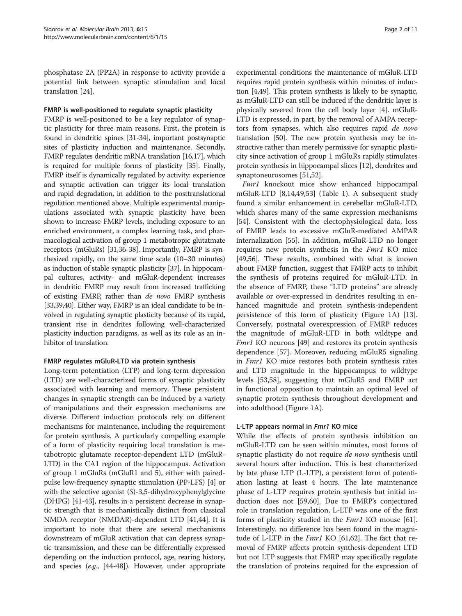phosphatase 2A (PP2A) in response to activity provide a potential link between synaptic stimulation and local translation [24].

#### FMRP is well-positioned to regulate synaptic plasticity

FMRP is well-positioned to be a key regulator of synaptic plasticity for three main reasons. First, the protein is found in dendritic spines [31-34], important postsynaptic sites of plasticity induction and maintenance. Secondly, FMRP regulates dendritic mRNA translation [16,17], which is required for multiple forms of plasticity [35]. Finally, FMRP itself is dynamically regulated by activity: experience and synaptic activation can trigger its local translation and rapid degradation, in addition to the posttranslational regulation mentioned above. Multiple experimental manipulations associated with synaptic plasticity have been shown to increase FMRP levels, including exposure to an enriched environment, a complex learning task, and pharmacological activation of group 1 metabotropic glutatmate receptors (mGluRs) [31,36-38]. Importantly, FMRP is synthesized rapidly, on the same time scale (10–30 minutes) as induction of stable synaptic plasticity [37]. In hippocampal cultures, activity- and mGluR-dependent increases in dendritic FMRP may result from increased trafficking of existing FMRP, rather than de novo FMRP synthesis [33,39,40]. Either way, FMRP is an ideal candidate to be involved in regulating synaptic plasticity because of its rapid, transient rise in dendrites following well-characterized plasticity induction paradigms, as well as its role as an inhibitor of translation.

# FMRP regulates mGluR-LTD via protein synthesis

Long-term potentiation (LTP) and long-term depression (LTD) are well-characterized forms of synaptic plasticity associated with learning and memory. These persistent changes in synaptic strength can be induced by a variety of manipulations and their expression mechanisms are diverse. Different induction protocols rely on different mechanisms for maintenance, including the requirement for protein synthesis. A particularly compelling example of a form of plasticity requiring local translation is metabotropic glutamate receptor-dependent LTD (mGluR-LTD) in the CA1 region of the hippocampus. Activation of group 1 mGluRs (mGluR1 and 5), either with pairedpulse low-frequency synaptic stimulation (PP-LFS) [4] or with the selective agonist  $(S)$ -3,5-dihydroxyphenylglycine (DHPG) [41-43], results in a persistent decrease in synaptic strength that is mechanistically distinct from classical NMDA receptor (NMDAR)-dependent LTD [41,44]. It is important to note that there are several mechanisms downstream of mGluR activation that can depress synaptic transmission, and these can be differentially expressed depending on the induction protocol, age, rearing history, and species (e.g., [44-48]). However, under appropriate

experimental conditions the maintenance of mGluR-LTD requires rapid protein synthesis within minutes of induction [4,49]. This protein synthesis is likely to be synaptic, as mGluR-LTD can still be induced if the dendritic layer is physically severed from the cell body layer [4]. mGluR-LTD is expressed, in part, by the removal of AMPA receptors from synapses, which also requires rapid de novo translation [50]. The new protein synthesis may be instructive rather than merely permissive for synaptic plasticity since activation of group 1 mGluRs rapidly stimulates protein synthesis in hippocampal slices [12], dendrites and synaptoneurosomes [51,52].

Fmr1 knockout mice show enhanced hippocampal mGluR-LTD [8,14,49,53] (Table 1). A subsequent study found a similar enhancement in cerebellar mGluR-LTD, which shares many of the same expression mechanisms [54]. Consistent with the electophysiological data, loss of FMRP leads to excessive mGluR-mediated AMPAR internalization [55]. In addition, mGluR-LTD no longer requires new protein synthesis in the *Fmr1* KO mice [49,56]. These results, combined with what is known about FMRP function, suggest that FMRP acts to inhibit the synthesis of proteins required for mGluR-LTD. In the absence of FMRP, these "LTD proteins" are already available or over-expressed in dendrites resulting in enhanced magnitude and protein synthesis-independent persistence of this form of plasticity (Figure 1A) [13]. Conversely, postnatal overexpression of FMRP reduces the magnitude of mGluR-LTD in both wildtype and Fmr1 KO neurons [49] and restores its protein synthesis dependence [57]. Moreover, reducing mGluR5 signaling in Fmr1 KO mice restores both protein synthesis rates and LTD magnitude in the hippocampus to wildtype levels [53,58], suggesting that mGluR5 and FMRP act in functional opposition to maintain an optimal level of synaptic protein synthesis throughout development and into adulthood (Figure 1A).

# L-LTP appears normal in Fmr1 KO mice

While the effects of protein synthesis inhibition on mGluR-LTD can be seen within minutes, most forms of synaptic plasticity do not require *de novo* synthesis until several hours after induction. This is best characterized by late phase LTP (L-LTP), a persistent form of potentiation lasting at least 4 hours. The late maintenance phase of L-LTP requires protein synthesis but initial induction does not [59,60]. Due to FMRP's conjectured role in translation regulation, L-LTP was one of the first forms of plasticity studied in the *Fmr1* KO mouse [61]. Interestingly, no difference has been found in the magnitude of L-LTP in the  $Fmr1$  KO [61,62]. The fact that removal of FMRP affects protein synthesis-dependent LTD but not LTP suggests that FMRP may specifically regulate the translation of proteins required for the expression of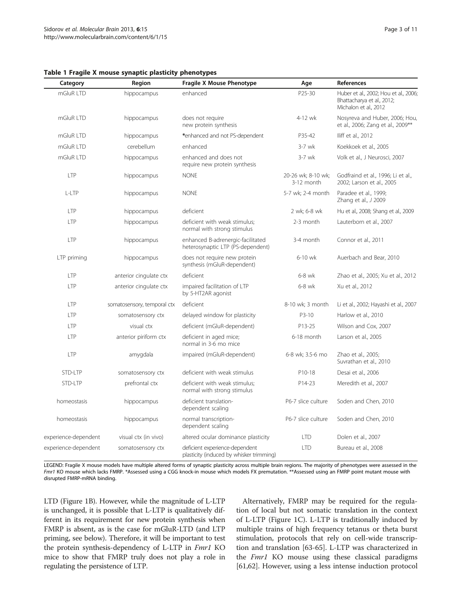| Table 1 Fragile X mouse synaptic plasticity phenotypes |  |  |  |  |
|--------------------------------------------------------|--|--|--|--|
|--------------------------------------------------------|--|--|--|--|

| Category             | Region                      | Fragile X Mouse Phenotype                                                  | Age                              | References                                                                                   |
|----------------------|-----------------------------|----------------------------------------------------------------------------|----------------------------------|----------------------------------------------------------------------------------------------|
| mGluR LTD            | hippocampus                 | enhanced                                                                   | P25-30                           | Huber et al., 2002; Hou et al., 2006;<br>Bhattacharya et al., 2012;<br>Michalon et al., 2012 |
| mGluR LTD            | hippocampus                 | does not require<br>new protein synthesis                                  | 4-12 wk                          | Nosyreva and Huber, 2006; Hou,<br>et al., 2006; Zang et al., 2009**                          |
| mGluR LTD            | hippocampus                 | *enhanced and not PS-dependent                                             | P35-42                           | lliff et al., 2012                                                                           |
| mGluR LTD            | cerebellum                  | enhanced                                                                   | $3-7$ wk                         | Koekkoek et al., 2005                                                                        |
| mGluR LTD            | hippocampus                 | enhanced and does not<br>require new protein synthesis                     | $3-7$ wk                         | Volk et al., J Neurosci, 2007                                                                |
| LTP                  | hippocampus                 | <b>NONE</b>                                                                | 20-26 wk; 8-10 wk;<br>3-12 month | Godfraind et al., 1996; Li et al.,<br>2002; Larson et al., 2005                              |
| L-LTP                | hippocampus                 | <b>NONE</b>                                                                | 5-7 wk; 2-4 month                | Paradee et al., 1999;<br>Zhang et al., J 2009                                                |
| LTP                  | hippocampus                 | deficient                                                                  | 2 wk; 6-8 wk                     | Hu et al., 2008; Shang et al., 2009                                                          |
| LTP                  | hippocampus                 | deficient with weak stimulus;<br>normal with strong stimulus               | 2-3 month                        | Lauterborn et al., 2007                                                                      |
| LTP                  | hippocampus                 | enhanced B-adrenergic-facilitated<br>heterosynaptic LTP (PS-dependent)     | 3-4 month                        | Connor et al., 2011                                                                          |
| LTP priming          | hippocampus                 | does not require new protein<br>synthesis (mGluR-dependent)                | 6-10 wk                          | Auerbach and Bear, 2010                                                                      |
| LTP                  | anterior cingulate ctx      | deficient                                                                  | $6-8$ wk                         | Zhao et al., 2005; Xu et al., 2012                                                           |
| I TP                 | anterior cingulate ctx      | impaired facilitation of LTP<br>by 5-HT2AR agonist                         | $6-8$ wk                         | Xu et al., 2012                                                                              |
| LTP                  | somatosensory, temporal ctx | deficient                                                                  | 8-10 wk; 3 month                 | Li et al., 2002; Hayashi et al., 2007                                                        |
| LTP                  | somatosensory ctx           | delayed window for plasticity                                              | P3-10                            | Harlow et al., 2010                                                                          |
| LTP                  | visual ctx                  | deficient (mGluR-dependent)                                                | P13-25                           | Wilson and Cox, 2007                                                                         |
| LTP                  | anterior piriform ctx       | deficient in aged mice;<br>normal in 3-6 mo mice                           | 6-18 month                       | Larson et al., 2005                                                                          |
| LTP                  | amygdala                    | impaired (mGluR-dependent)                                                 | 6-8 wk; 3.5-6 mo                 | Zhao et al., 2005;<br>Suvrathan et al., 2010                                                 |
| STD-LTP              | somatosensory ctx           | deficient with weak stimulus                                               | P10-18                           | Desai et al., 2006                                                                           |
| STD-LTP              | prefrontal ctx              | deficient with weak stimulus;<br>normal with strong stimulus               | P14-23                           | Meredith et al., 2007                                                                        |
| homeostasis          | hippocampus                 | deficient translation-<br>dependent scaling                                | P6-7 slice culture               | Soden and Chen, 2010                                                                         |
| homeostasis          | hippocampus                 | normal transcription-<br>dependent scaling                                 | P6-7 slice culture               | Soden and Chen, 2010                                                                         |
| experience-dependent | visual ctx (in vivo)        | altered ocular dominance plasticity                                        | <b>LTD</b>                       | Dolen et al., 2007                                                                           |
| experience-dependent | somatosensory ctx           | deficient experience-dependent<br>plasticity (induced by whisker trimming) | <b>LTD</b>                       | Bureau et al., 2008                                                                          |

LEGEND: Fragile X mouse models have multiple altered forms of synaptic plasticity across multiple brain regions. The majority of phenotypes were assessed in the Fmr1 KO mouse which lacks FMRP. \*Assessed using a CGG knock-in mouse which models FX premutation. \*\*Assessed using an FMRP point mutant mouse with disrupted FMRP-mRNA binding.

LTD (Figure 1B). However, while the magnitude of L-LTP is unchanged, it is possible that L-LTP is qualitatively different in its requirement for new protein synthesis when FMRP is absent, as is the case for mGluR-LTD (and LTP priming, see below). Therefore, it will be important to test the protein synthesis-dependency of L-LTP in Fmr1 KO mice to show that FMRP truly does not play a role in regulating the persistence of LTP.

Alternatively, FMRP may be required for the regulation of local but not somatic translation in the context of L-LTP (Figure 1C). L-LTP is traditionally induced by multiple trains of high frequency tetanus or theta burst stimulation, protocols that rely on cell-wide transcription and translation [63-65]. L-LTP was characterized in the *Fmr1* KO mouse using these classical paradigms [61,62]. However, using a less intense induction protocol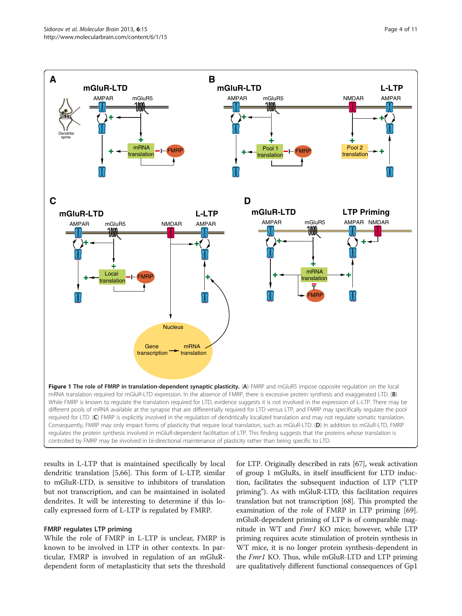

results in L-LTP that is maintained specifically by local dendritic translation [5,66]. This form of L-LTP, similar to mGluR-LTD, is sensitive to inhibitors of translation but not transcription, and can be maintained in isolated dendrites. It will be interesting to determine if this locally expressed form of L-LTP is regulated by FMRP.

# FMRP regulates LTP priming

While the role of FMRP in L-LTP is unclear, FMRP is known to be involved in LTP in other contexts. In particular, FMRP is involved in regulation of an mGluRdependent form of metaplasticity that sets the threshold

for LTP. Originally described in rats [67], weak activation of group 1 mGluRs, in itself insufficient for LTD induction, facilitates the subsequent induction of LTP ("LTP priming"). As with mGluR-LTD, this facilitation requires translation but not transcription [68]. This prompted the examination of the role of FMRP in LTP priming [69]. mGluR-dependent priming of LTP is of comparable magnitude in WT and *Fmr1* KO mice; however, while LTP priming requires acute stimulation of protein synthesis in WT mice, it is no longer protein synthesis-dependent in the *Fmr1* KO. Thus, while mGluR-LTD and LTP priming are qualitatively different functional consequences of Gp1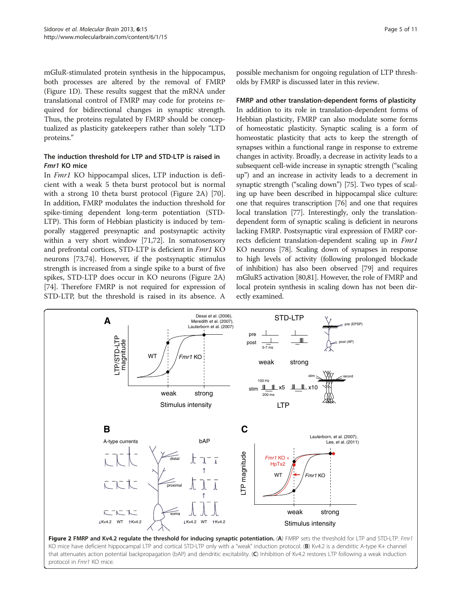mGluR-stimulated protein synthesis in the hippocampus, both processes are altered by the removal of FMRP (Figure 1D). These results suggest that the mRNA under translational control of FMRP may code for proteins required for bidirectional changes in synaptic strength. Thus, the proteins regulated by FMRP should be conceptualized as plasticity gatekeepers rather than solely "LTD proteins."

# The induction threshold for LTP and STD-LTP is raised in Fmr1 KO mice

In Fmr1 KO hippocampal slices, LTP induction is deficient with a weak 5 theta burst protocol but is normal with a strong 10 theta burst protocol (Figure 2A) [70]. In addition, FMRP modulates the induction threshold for spike-timing dependent long-term potentiation (STD-LTP). This form of Hebbian plasticity is induced by temporally staggered presynaptic and postsynaptic activity within a very short window [71,72]. In somatosensory and prefrontal cortices, STD-LTP is deficient in Fmr1 KO neurons [73,74]. However, if the postsynaptic stimulus strength is increased from a single spike to a burst of five spikes, STD-LTP does occur in KO neurons (Figure 2A) [74]. Therefore FMRP is not required for expression of STD-LTP, but the threshold is raised in its absence. A possible mechanism for ongoing regulation of LTP thresholds by FMRP is discussed later in this review.

FMRP and other translation-dependent forms of plasticity In addition to its role in translation-dependent forms of Hebbian plasticity, FMRP can also modulate some forms of homeostatic plasticity. Synaptic scaling is a form of homeostatic plasticity that acts to keep the strength of synapses within a functional range in response to extreme changes in activity. Broadly, a decrease in activity leads to a subsequent cell-wide increase in synaptic strength ("scaling up") and an increase in activity leads to a decrement in synaptic strength ("scaling down") [75]. Two types of scaling up have been described in hippocampal slice culture: one that requires transcription [76] and one that requires local translation [77]. Interestingly, only the translationdependent form of synaptic scaling is deficient in neurons lacking FMRP. Postsynaptic viral expression of FMRP corrects deficient translation-dependent scaling up in Fmr1 KO neurons [78]. Scaling down of synapses in response to high levels of activity (following prolonged blockade of inhibition) has also been observed [79] and requires mGluR5 activation [80,81]. However, the role of FMRP and local protein synthesis in scaling down has not been directly examined.



that attenuates action potential backpropagation (bAP) and dendritic excitability. (C) Inhibition of Kv4.2 restores LTP following a weak induction protocol in Fmr1 KO mice.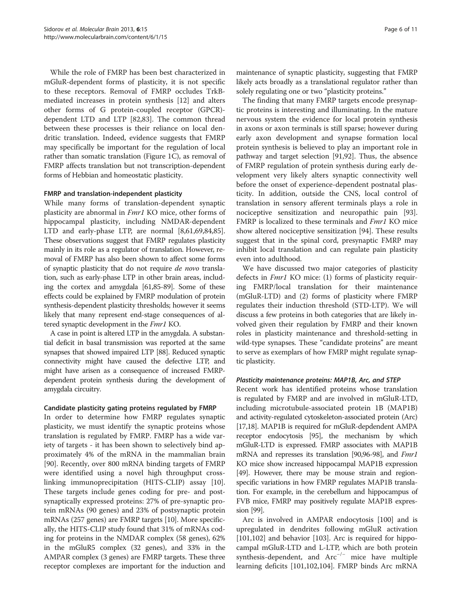While the role of FMRP has been best characterized in mGluR-dependent forms of plasticity, it is not specific to these receptors. Removal of FMRP occludes TrkBmediated increases in protein synthesis [12] and alters other forms of G protein-coupled receptor (GPCR) dependent LTD and LTP [82,83]. The common thread between these processes is their reliance on local dendritic translation. Indeed, evidence suggests that FMRP may specifically be important for the regulation of local rather than somatic translation (Figure 1C), as removal of FMRP affects translation but not transcription-dependent forms of Hebbian and homeostatic plasticity.

#### FMRP and translation-independent plasticity

While many forms of translation-dependent synaptic plasticity are abnormal in Fmr1 KO mice, other forms of hippocampal plasticity, including NMDAR-dependent LTD and early-phase LTP, are normal [8,61,69,84,85]. These observations suggest that FMRP regulates plasticity mainly in its role as a regulator of translation. However, removal of FMRP has also been shown to affect some forms of synaptic plasticity that do not require de novo translation, such as early-phase LTP in other brain areas, including the cortex and amygdala [61,85-89]. Some of these effects could be explained by FMRP modulation of protein synthesis-dependent plasticity thresholds; however it seems likely that many represent end-stage consequences of altered synaptic development in the Fmr1 KO.

A case in point is altered LTP in the amygdala. A substantial deficit in basal transmission was reported at the same synapses that showed impaired LTP [88]. Reduced synaptic connectivity might have caused the defective LTP, and might have arisen as a consequence of increased FMRPdependent protein synthesis during the development of amygdala circuitry.

#### Candidate plasticity gating proteins regulated by FMRP

In order to determine how FMRP regulates synaptic plasticity, we must identify the synaptic proteins whose translation is regulated by FMRP. FMRP has a wide variety of targets - it has been shown to selectively bind approximately 4% of the mRNA in the mammalian brain [90]. Recently, over 800 mRNA binding targets of FMRP were identified using a novel high throughput crosslinking immunoprecipitation (HITS-CLIP) assay [10]. These targets include genes coding for pre- and postsynaptically expressed proteins: 27% of pre-synaptic protein mRNAs (90 genes) and 23% of postsynaptic protein mRNAs (257 genes) are FMRP targets [10]. More specifically, the HITS-CLIP study found that 31% of mRNAs coding for proteins in the NMDAR complex (58 genes), 62% in the mGluR5 complex (32 genes), and 33% in the AMPAR complex (3 genes) are FMRP targets. These three receptor complexes are important for the induction and

maintenance of synaptic plasticity, suggesting that FMRP likely acts broadly as a translational regulator rather than solely regulating one or two "plasticity proteins."

The finding that many FMRP targets encode presynaptic proteins is interesting and illuminating. In the mature nervous system the evidence for local protein synthesis in axons or axon terminals is still sparse; however during early axon development and synapse formation local protein synthesis is believed to play an important role in pathway and target selection [91,92]. Thus, the absence of FMRP regulation of protein synthesis during early development very likely alters synaptic connectivity well before the onset of experience-dependent postnatal plasticity. In addition, outside the CNS, local control of translation in sensory afferent terminals plays a role in nociceptive sensitization and neuropathic pain [93]. FMRP is localized to these terminals and Fmr1 KO mice show altered nociceptive sensitization [94]. These results suggest that in the spinal cord, presynaptic FMRP may inhibit local translation and can regulate pain plasticity even into adulthood.

We have discussed two major categories of plasticity defects in Fmr1 KO mice: (1) forms of plasticity requiring FMRP/local translation for their maintenance (mGluR-LTD) and (2) forms of plasticity where FMRP regulates their induction threshold (STD-LTP). We will discuss a few proteins in both categories that are likely involved given their regulation by FMRP and their known roles in plasticity maintenance and threshold-setting in wild-type synapses. These "candidate proteins" are meant to serve as exemplars of how FMRP might regulate synaptic plasticity.

#### Plasticity maintenance proteins: MAP1B, Arc, and STEP

Recent work has identified proteins whose translation is regulated by FMRP and are involved in mGluR-LTD, including microtubule-associated protein 1B (MAP1B) and activity-regulated cytoskeleton-associated protein (Arc) [17,18]. MAP1B is required for mGluR-depdendent AMPA receptor endocytosis [95], the mechanism by which mGluR-LTD is expressed. FMRP associates with MAP1B mRNA and represses its translation [90,96-98], and Fmr1 KO mice show increased hippocampal MAP1B expression [49]. However, there may be mouse strain and regionspecific variations in how FMRP regulates MAP1B translation. For example, in the cerebellum and hippocampus of FVB mice, FMRP may positively regulate MAP1B expression [99].

Arc is involved in AMPAR endocytosis [100] and is upregulated in dendrites following mGluR activation [101,102] and behavior [103]. Arc is required for hippocampal mGluR-LTD and L-LTP, which are both protein synthesis-dependent, and  $Arc<sup>-/-</sup>$  mice have multiple learning deficits [101,102,104]. FMRP binds Arc mRNA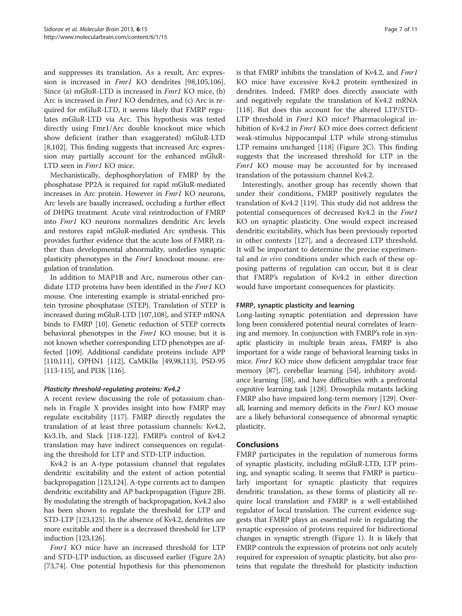and suppresses its translation. As a result, Arc expression is increased in Fmr1 KO dendrites [98,105,106]. Since (a) mGluR-LTD is increased in Fmr1 KO mice, (b) Arc is increased in Fmr1 KO dendrites, and (c) Arc is required for mGluR-LTD, it seems likely that FMRP regulates mGluR-LTD via Arc. This hypothesis was tested directly using Fmr1/Arc double knockout mice which show deficient (rather than exaggerated) mGluR-LTD [8,102]. This finding suggests that increased Arc expression may partially account for the enhanced mGluR-LTD seen in *Fmr1* KO mice.

Mechanistically, dephosphorylation of FMRP by the phosphatase PP2A is required for rapid mGluR-mediated increases in Arc protein. However in Fmr1 KO neurons, Arc levels are basally increased, occluding a further effect of DHPG treatment. Acute viral reintroduction of FMRP into Fmr1 KO neurons normalizes dendritic Arc levels and restores rapid mGluR-mediated Arc synthesis. This provides further evidence that the acute loss of FMRP, rather than developmental abnormality, underlies synaptic plasticity phenotypes in the Fmr1 knockout mouse. eregulation of translation.

In addition to MAP1B and Arc, numerous other candidate LTD proteins have been identified in the Fmr1 KO mouse. One interesting example is striatal-enriched protein tyrosine phosphatase (STEP). Translation of STEP is increased during mGluR-LTD [107,108], and STEP mRNA binds to FMRP [10]. Genetic reduction of STEP corrects behavioral phenotypes in the Fmr1 KO mouse; but it is not known whether corresponding LTD phenotypes are affected [109]. Additional candidate proteins include APP [110,111], OPHN1 [112], CaMKIIα [49,98,113], PSD-95 [113-115], and PI3K [116].

# Plasticity threshold-regulating proteins: Kv4.2

A recent review discussing the role of potassium channels in Fragile X provides insight into how FMRP may regulate excitability [117]. FMRP directly regulates the translation of at least three potassium channels: Kv4.2, Kv3.1b, and Slack [118-122]. FMRP's control of Kv4.2 translation may have indirect consequences on regulating the threshold for LTP and STD-LTP induction.

Kv4.2 is an A-type potassium channel that regulates dendritic excitability and the extent of action potential backpropagation [123,124]. A-type currents act to dampen dendritic excitability and AP backpropagation (Figure 2B). By modulating the strength of backpropagation, Kv4.2 also has been shown to regulate the threshold for LTP and STD-LTP [123,125]. In the absence of Kv4.2, dendrites are more excitable and there is a decreased threshold for LTP induction [123,126].

Fmr1 KO mice have an increased threshold for LTP and STD-LTP induction, as discussed earlier (Figure 2A) [73,74]. One potential hypothesis for this phenomenon is that FMRP inhibits the translation of Kv4.2, and Fmr1 KO mice have excessive Kv4.2 protein synthesized in dendrites. Indeed, FMRP does directly associate with and negatively regulate the translation of Kv4.2 mRNA [118]. But does this account for the altered LTP/STD-LTP threshold in *Fmr1* KO mice? Pharmacological inhibition of Kv4.2 in *Fmr1* KO mice does correct deficient weak-stimulus hippocampal LTP while strong-stimulus LTP remains unchanged [118] (Figure 2C). This finding suggests that the increased threshold for LTP in the Fmr1 KO mouse may be accounted for by increased translation of the potassium channel Kv4.2.

Interestingly, another group has recently shown that under their conditions, FMRP positively regulates the translation of Kv4.2 [119]. This study did not address the potential consequences of decreased Kv4.2 in the Fmr1 KO on synaptic plasticity. One would expect increased dendritic excitability, which has been previously reported in other contexts [127], and a decreased LTP threshold. It will be important to determine the precise experimental and *in vivo* conditions under which each of these opposing patterns of regulation can occur, but it is clear that FMRP's regulation of Kv4.2 in either direction would have important consequences for plasticity.

#### FMRP, synaptic plasticity and learning

Long-lasting synaptic potentiation and depression have long been considered potential neural correlates of learning and memory. In conjunction with FMRP's role in synaptic plasticity in multiple brain areas, FMRP is also important for a wide range of behavioral learning tasks in mice. Fmr1 KO mice show deficient amygdalar trace fear memory [87], cerebellar learning [54], inhibitory avoidance learning [58], and have difficulties with a prefrontal cognitive learning task [128]. Drosophila mutants lacking FMRP also have impaired long-term memory [129]. Overall, learning and memory deficits in the *Fmr1* KO mouse are a likely behavioral consequence of abnormal synaptic plasticity.

#### Conclusions

FMRP participates in the regulation of numerous forms of synaptic plasticity, including mGluR-LTD, LTP priming, and synaptic scaling. It seems that FMRP is particularly important for synaptic plasticity that requires dendritic translation, as these forms of plasticity all require local translation and FMRP is a well-established regulator of local translation. The current evidence suggests that FMRP plays an essential role in regulating the synaptic expression of proteins required for bidirectional changes in synaptic strength (Figure 1). It is likely that FMRP controls the expression of proteins not only acutely required for expression of synaptic plasticity, but also proteins that regulate the threshold for plasticity induction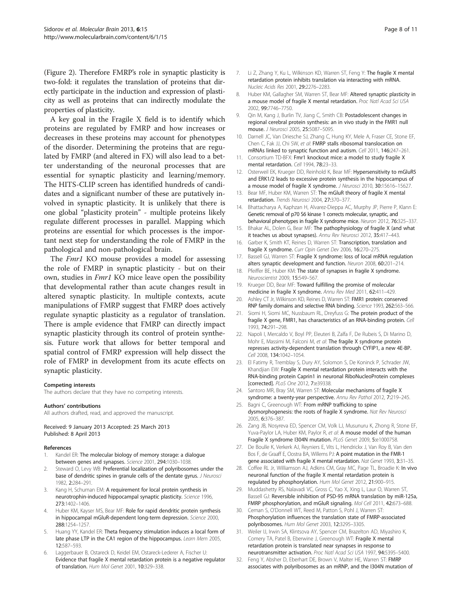(Figure 2). Therefore FMRP's role in synaptic plasticity is two-fold: it regulates the translation of proteins that directly participate in the induction and expression of plasticity as well as proteins that can indirectly modulate the properties of plasticity.

A key goal in the Fragile X field is to identify which proteins are regulated by FMRP and how increases or decreases in these proteins may account for phenotypes of the disorder. Determining the proteins that are regulated by FMRP (and altered in FX) will also lead to a better understanding of the neuronal processes that are essential for synaptic plasticity and learning/memory. The HITS-CLIP screen has identified hundreds of candidates and a significant number of these are putatively involved in synaptic plasticity. It is unlikely that there is one global "plasticity protein" - multiple proteins likely regulate different processes in parallel. Mapping which proteins are essential for which processes is the important next step for understanding the role of FMRP in the pathological and non-pathological brain.

The *Fmr1* KO mouse provides a model for assessing the role of FMRP in synaptic plasticity - but on their own, studies in Fmr1 KO mice leave open the possibility that developmental rather than acute changes result in altered synaptic plasticity. In multiple contexts, acute manipulations of FMRP suggest that FMRP does actively regulate synaptic plasticity as a regulator of translation. There is ample evidence that FMRP can directly impact synaptic plasticity through its control of protein synthesis. Future work that allows for better temporal and spatial control of FMRP expression will help dissect the role of FMRP in development from its acute effects on synaptic plasticity.

#### Competing interests

The authors declare that they have no competing interests.

#### Authors' contributions

All authors drafted, read, and approved the manuscript.

#### Received: 9 January 2013 Accepted: 25 March 2013 Published: 8 April 2013

#### References

- Kandel ER: The molecular biology of memory storage: a dialogue between genes and synapses. Science 2001, 294:1030–1038.
- 2. Steward O, Levy WB: Preferential localization of polyribosomes under the base of dendritic spines in granule cells of the dentate gyrus. J Neurosci 1982, 2:284–291.
- 3. Kang H, Schuman EM: A requirement for local protein synthesis in neurotrophin-induced hippocampal synaptic plasticity. Science 1996, 273:1402–1406.
- 4. Huber KM, Kayser MS, Bear MF: Role for rapid dendritic protein synthesis in hippocampal mGluR-dependent long-term depression. Science 2000, 288:1254–1257.
- Huang YY, Kandel ER: Theta frequency stimulation induces a local form of late phase LTP in the CA1 region of the hippocampus. Learn Mem 2005, 12:587–593.
- Laggerbauer B, Ostareck D, Keidel EM, Ostareck-Lederer A, Fischer U: Evidence that fragile X mental retardation protein is a negative regulator of translation. Hum Mol Genet 2001, 10:329–338.
- 7. Li Z, Zhang Y, Ku L, Wilkinson KD, Warren ST, Feng Y: The fragile X mental retardation protein inhibits translation via interacting with mRNA. Nucleic Acids Res 2001, 29:2276–2283.
- 8. Huber KM, Gallagher SM, Warren ST, Bear MF: Altered synaptic plasticity in a mouse model of fragile X mental retardation. Proc Natl Acad Sci USA 2002, 99:7746–7750.
- 9. Qin M, Kang J, Burlin TV, Jiang C, Smith CB: Postadolescent changes in regional cerebral protein synthesis: an in vivo study in the FMR1 null mouse. J Neurosci 2005, 25:5087–5095.
- 10. Darnell JC, Van Driesche SJ, Zhang C, Hung KY, Mele A, Fraser CE, Stone EF, Chen C, Fak JJ, Chi SW, et al: FMRP stalls ribosomal translocation on mRNAs linked to synaptic function and autism. Cell 2011, 146:247–261.
- 11. Consortium TD-BFX: Fmr1 knockout mice: a model to study fragile X mental retardation. Cell 1994, 78:23-33.
- 12. Osterweil EK, Krueger DD, Reinhold K, Bear MF: Hypersensitivity to mGluR5 and ERK1/2 leads to excessive protein synthesis in the hippocampus of a mouse model of fragile X syndrome. J Neurosci 2010, 30:15616-15627.
- 13. Bear MF, Huber KM, Warren ST: The mGluR theory of fragile X mental retardation. Trends Neurosci 2004, 27:370–377.
- 14. Bhattacharya A, Kaphzan H, Alvarez-Dieppa AC, Murphy JP, Pierre P, Klann E: Genetic removal of p70 S6 kinase 1 corrects molecular, synaptic, and behavioral phenotypes in fragile X syndrome mice. Neuron 2012, 76:325–337.
- 15. Bhakar AL, Dolen G, Bear MF: The pathophysiology of fragile X (and what it teaches us about synapses). Annu Rev Neurosci 2012, 35:417–443.
- 16. Garber K, Smith KT, Reines D, Warren ST: Transcription, translation and fragile X syndrome. Curr Opin Genet Dev 2006, 16:270–275.
- 17. Bassell GJ, Warren ST: Fragile X syndrome: loss of local mRNA regulation alters synaptic development and function. Neuron 2008, 60:201–214.
- 18. Pfeiffer BE, Huber KM: The state of synapses in fragile X syndrome. Neuroscientist 2009, 15:549–567.
- 19. Krueger DD, Bear MF: Toward fulfilling the promise of molecular medicine in fragile X syndrome. Annu Rev Med 2011, 62:411–429.
- 20. Ashley CT Jr, Wilkinson KD, Reines D, Warren ST: FMR1 protein: conserved RNP family domains and selective RNA binding. Science 1993, 262:563–566.
- 21. Siomi H, Siomi MC, Nussbaum RL, Dreyfuss G: The protein product of the fragile X gene, FMR1, has characteristics of an RNA-binding protein. Cell 1993, 74:291–298.
- 22. Napoli I, Mercaldo V, Boyl PP, Eleuteri B, Zalfa F, De Rubeis S, Di Marino D, Mohr E, Massimi M, Falconi M, et al: The fragile X syndrome protein represses activity-dependent translation through CYFIP1, a new 4E-BP. Cell 2008, 134:1042–1054.
- 23. El Fatimy R, Tremblay S, Dury AY, Solomon S, De Koninck P, Schrader JW, Khandjian EW: Fragile X mental retardation protein interacts with the RNA-binding protein Caprin1 in neuronal RiboNucleoProtein complexes [corrected]. PLoS One 2012, 7:e39338.
- 24. Santoro MR, Bray SM, Warren ST: Molecular mechanisms of fragile X syndrome: a twenty-year perspective. Annu Rev Pathol 2012, 7:219-245.
- 25. Bagni C, Greenough WT: From mRNP trafficking to spine dysmorphogenesis: the roots of fragile X syndrome. Nat Rev Neurosci 2005, 6:376–387.
- 26. Zang JB, Nosyreva ED, Spencer CM, Volk LJ, Musunuru K, Zhong R, Stone EF, Yuva-Paylor LA, Huber KM, Paylor R, et al: A mouse model of the human Fragile X syndrome I304N mutation. PLoS Genet 2009, 5:e1000758.
- 27. De Boulle K, Verkerk AJ, Reyniers E, Vits L, Hendrickx J, Van Roy B, Van den Bos F, de Graaff E, Oostra BA, Willems PJ: A point mutation in the FMR-1 gene associated with fragile X mental retardation. Nat Genet 1993, 3:31-35.
- 28. Coffee RL Jr, Williamson AJ, Adkins CM, Gray MC, Page TL, Broadie K: In vivo neuronal function of the fragile X mental retardation protein is regulated by phosphorylation. Hum Mol Genet 2012, 21:900–915.
- 29. Muddashetty RS, Nalavadi VC, Gross C, Yao X, Xing L, Laur O, Warren ST, Bassell GJ: Reversible inhibition of PSD-95 mRNA translation by miR-125a, FMRP phosphorylation, and mGluR signaling. Mol Cell 2011, 42:673–688.
- 30. Ceman S, O'Donnell WT, Reed M, Patton S, Pohl J, Warren ST: Phosphorylation influences the translation state of FMRP-associated polyribosomes. Hum Mol Genet 2003, 12:3295–3305.
- Weiler IJ, Irwin SA, Klintsova AY, Spencer CM, Brazelton AD, Miyashiro K, Comery TA, Patel B, Eberwine J, Greenough WT: Fragile X mental retardation protein is translated near synapses in response to neurotransmitter activation. Proc Natl Acad Sci USA 1997, 94:5395–5400.
- 32. Feng Y, Absher D, Eberhart DE, Brown V, Malter HE, Warren ST: FMRP associates with polyribosomes as an mRNP, and the I304N mutation of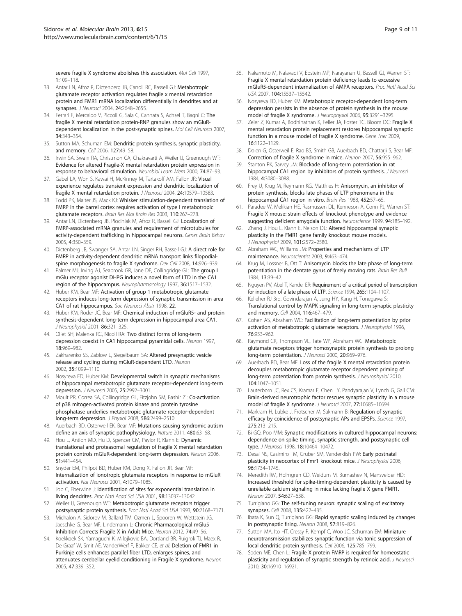severe fragile X syndrome abolishes this association. Mol Cell 1997, 1:109–118.

- 33. Antar LN, Afroz R, Dictenberg JB, Carroll RC, Bassell GJ: Metabotropic glutamate receptor activation regulates fragile x mental retardation protein and FMR1 mRNA localization differentially in dendrites and at synapses. J Neurosci 2004, 24:2648–2655.
- 34. Ferrari F, Mercaldo V, Piccoli G, Sala C, Cannata S, Achsel T, Bagni C: The fragile X mental retardation protein-RNP granules show an mGluRdependent localization in the post-synaptic spines. Mol Cell Neurosci 2007, 34:343–354.
- 35. Sutton MA, Schuman EM: Dendritic protein synthesis, synaptic plasticity, and memory. Cell 2006, 127:49–58.
- 36. Irwin SA, Swain RA, Christmon CA, Chakravarti A, Weiler IJ, Greenough WT: Evidence for altered Fragile-X mental retardation protein expression in response to behavioral stimulation. Neurobiol Learn Mem 2000, 74:87–93.
- 37. Gabel LA, Won S, Kawai H, McKinney M, Tartakoff AM, Fallon JR: Visual experience regulates transient expression and dendritic localization of fragile X mental retardation protein. J Neurosci 2004, 24:10579-10583
- 38. Todd PK, Malter JS, Mack KJ: Whisker stimulation-dependent translation of FMRP in the barrel cortex requires activation of type I metabotropic glutamate receptors. Brain Res Mol Brain Res 2003, 110:267–278.
- 39. Antar LN, Dictenberg JB, Plociniak M, Afroz R, Bassell GJ: Localization of FMRP-associated mRNA granules and requirement of microtubules for activity-dependent trafficking in hippocampal neurons. Genes Brain Behav 2005, 4:350–359.
- 40. Dictenberg JB, Swanger SA, Antar LN, Singer RH, Bassell GJ: A direct role for FMRP in activity-dependent dendritic mRNA transport links filopodialspine morphogenesis to fragile X syndrome. Dev Cell 2008, 14:926–939.
- 41. Palmer MJ, Irving AJ, Seabrook GR, Jane DE, Collingridge GL: The group I mGlu receptor agonist DHPG induces a novel form of LTD in the CA1 region of the hippocampus. Neuropharmacology 1997, 36:1517–1532.
- 42. Huber KM, Bear MF: Activation of group 1 metabotropic glutamate receptors induces long-term depression of synaptic transmission in area CA1 of rat hippocampus. Soc Neurosci Abstr 1998, 22.
- 43. Huber KM, Roder JC, Bear MF: Chemical induction of mGluR5- and protein synthesis-dependent long-term depression in hippocampal area CA1. J Neurophysiol 2001, 86:321–325.
- 44. Oliet SH, Malenka RC, Nicoll RA: Two distinct forms of long-term depression coexist in CA1 hippocampal pyramidal cells. Neuron 1997, 18:969–982.
- 45. Zakharenko SS, Zablow L, Siegelbaum SA: Altered presynaptic vesicle release and cycling during mGluR-dependent LTD. Neuron 2002, 35:1099–1110.
- 46. Nosyreva ED, Huber KM: Developmental switch in synaptic mechanisms of hippocampal metabotropic glutamate receptor-dependent long-term depression. J Neurosci 2005, 25:2992–3001.
- 47. Moult PR, Correa SA, Collingridge GL, Fitzjohn SM, Bashir ZI: Co-activation of p38 mitogen-activated protein kinase and protein tyrosine phosphatase underlies metabotropic glutamate receptor-dependent long-term depression. J Physiol 2008, 586:2499–2510.
- 48. Auerbach BD, Osterweil EK, Bear MF: Mutations causing syndromic autism define an axis of synaptic pathophysiology. Nature 2011, 480:63–68.
- 49. Hou L, Antion MD, Hu D, Spencer CM, Paylor R, Klann E: Dynamic translational and proteasomal regulation of fragile X mental retardation protein controls mGluR-dependent long-term depression. Neuron 2006, 51:441–454.
- 50. Snyder EM, Philpot BD, Huber KM, Dong X, Fallon JR, Bear MF: Internalization of ionotropic glutamate receptors in response to mGluR activation. Nat Neurosci 2001, 4:1079–1085.
- 51. Job C, Eberwine J: Identification of sites for exponential translation in living dendrites. Proc Natl Acad Sci USA 2001, 98:13037–13042.
- 52. Weiler IJ, Greenough WT: Metabotropic glutamate receptors trigger postsynaptic protein synthesis. Proc Natl Acad Sci USA 1993, 90:7168–7171.
- 53. Michalon A, Sidorov M, Ballard TM, Ozmen L, Spooren W, Wettstein JG, Jaeschke G, Bear MF, Lindemann L: Chronic Pharmacological mGlu5 Inhibition Corrects Fragile X in Adult Mice. Neuron 2012, 74:49–56.
- 54. Koekkoek SK, Yamaguchi K, Milojkovic BA, Dortland BR, Ruigrok TJ, Maex R, De Graaf W, Smit AE, VanderWerf F, Bakker CE, et al: Deletion of FMR1 in Purkinje cells enhances parallel fiber LTD, enlarges spines, and attenuates cerebellar eyelid conditioning in Fragile X syndrome. Neuron 2005, 47:339–352.
- 55. Nakamoto M, Nalavadi V, Epstein MP, Narayanan U, Bassell GJ, Warren ST: Fragile X mental retardation protein deficiency leads to excessive mGluR5-dependent internalization of AMPA receptors. Proc Natl Acad Sci USA 2007, 104:15537–15542.
- 56. Nosyreva ED, Huber KM: Metabotropic receptor-dependent long-term depression persists in the absence of protein synthesis in the mouse model of fragile X syndrome. J Neurophysiol 2006, 95:3291–3295.
- 57. Zeier Z, Kumar A, Bodhinathan K, Feller JA, Foster TC, Bloom DC: Fragile X mental retardation protein replacement restores hippocampal synaptic function in a mouse model of fragile X syndrome. Gene Ther 2009, 16:1122–1129.
- 58. Dolen G, Osterweil E, Rao BS, Smith GB, Auerbach BD, Chattarji S, Bear MF: Correction of fragile X syndrome in mice. Neuron 2007, 56:955–962.
- 59. Stanton PK, Sarvey JM: Blockade of long-term potentiation in rat hippocampal CA1 region by inhibitors of protein synthesis. J Neurosci 1984, 4:3080–3088.
- 60. Frey U, Krug M, Reymann KG, Matthies H: Anisomycin, an inhibitor of protein synthesis, blocks late phases of LTP phenomena in the hippocampal CA1 region in vitro. Brain Res 1988, 452:57-65.
- 61. Paradee W, Melikian HE, Rasmussen DL, Kenneson A, Conn PJ, Warren ST: Fragile X mouse: strain effects of knockout phenotype and evidence suggesting deficient amygdala function. Neuroscience 1999, 94:185-192.
- 62. Zhang J, Hou L, Klann E, Nelson DL: Altered hippocampal synaptic plasticity in the FMR1 gene family knockout mouse models. J Neurophysiol 2009, 101:2572–2580.
- 63. Abraham WC, Williams JM: Properties and mechanisms of LTP maintenance. Neuroscientist 2003, 9:463–474.
- 64. Krug M, Lossner B, Ott T: Anisomycin blocks the late phase of long-term potentiation in the dentate gyrus of freely moving rats. Brain Res Bull 1984, 13:39–42.
- 65. Nguyen PV, Abel T, Kandel ER: Requirement of a critical period of transcription for induction of a late phase of LTP. Science 1994, 265:1104–1107.
- 66. Kelleher RJ 3rd, Govindarajan A, Jung HY, Kang H, Tonegawa S: Translational control by MAPK signaling in long-term synaptic plasticity and memory. Cell 2004, 116:467–479.
- 67. Cohen AS, Abraham WC: Facilitation of long-term potentiation by prior activation of metabotropic glutamate receptors. J Neurophysiol 1996, 76:953–962.
- 68. Raymond CR, Thompson VL, Tate WP, Abraham WC: Metabotropic glutamate receptors trigger homosynaptic protein synthesis to prolong long-term potentiation. J Neurosci 2000, 20:969–976.
- 69. Auerbach BD, Bear MF: Loss of the fragile X mental retardation protein decouples metabotropic glutamate receptor dependent priming of long-term potentiation from protein synthesis. J Neurophysiol 2010, 104:1047–1051.
- 70. Lauterborn JC, Rex CS, Kramar E, Chen LY, Pandyarajan V, Lynch G, Gall CM: Brain-derived neurotrophic factor rescues synaptic plasticity in a mouse model of fragile X syndrome. J Neurosci 2007, 27:10685–10694.
- 71. Markram H, Lubke J, Frotscher M, Sakmann B: Regulation of synaptic efficacy by coincidence of postsynaptic APs and EPSPs. Science 1997, 275:213–215.
- 72. Bi GQ, Poo MM: Synaptic modifications in cultured hippocampal neurons: dependence on spike timing, synaptic strength, and postsynaptic cell type. J Neurosci 1998, 18:10464–10472.
- 73. Desai NS, Casimiro TM, Gruber SM, Vanderklish PW: Early postnatal plasticity in neocortex of Fmr1 knockout mice. J Neurophysiol 2006, 96:1734–1745.
- 74. Meredith RM, Holmgren CD, Weidum M, Burnashev N, Mansvelder HD: Increased threshold for spike-timing-dependent plasticity is caused by unreliable calcium signaling in mice lacking fragile X gene FMR1. Neuron 2007, 54:627–638.
- 75. Turrigiano GG: The self-tuning neuron: synaptic scaling of excitatory synapses. Cell 2008, 135:422–435.
- 76. Ibata K, Sun Q, Turrigiano GG: Rapid synaptic scaling induced by changes in postsynaptic firing. Neuron 2008, 57:819–826.
- 77. Sutton MA, Ito HT, Cressy P, Kempf C, Woo JC, Schuman EM: Miniature neurotransmission stabilizes synaptic function via tonic suppression of local dendritic protein synthesis. Cell 2006, 125:785–799.
- 78. Soden ME, Chen L: Fragile X protein FMRP is required for homeostatic plasticity and regulation of synaptic strength by retinoic acid. J Neurosci 2010, 30:16910–16921.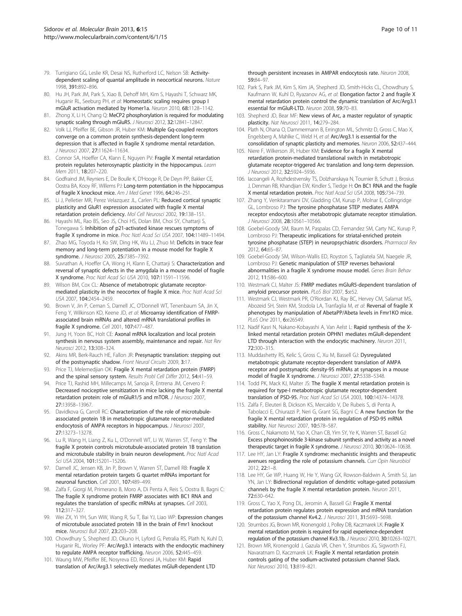- 79. Turrigiano GG, Leslie KR, Desai NS, Rutherford LC, Nelson SB: Activitydependent scaling of quantal amplitude in neocortical neurons. Nature 1998, 391:892–896.
- 80. Hu JH, Park JM, Park S, Xiao B, Dehoff MH, Kim S, Hayashi T, Schwarz MK, Huganir RL, Seeburg PH, et al: Homeostatic scaling requires group I mGluR activation mediated by Homer1a. Neuron 2010, 68:1128–1142.
- 81. Zhong X, Li H, Chang Q: MeCP2 phosphorylation is required for modulating synaptic scaling through mGluR5. J Neurosci 2012, 32:12841-12847.
- 82. Volk LJ, Pfeiffer BE, Gibson JR, Huber KM: Multiple Gq-coupled receptors converge on a common protein synthesis-dependent long-term depression that is affected in fragile X syndrome mental retardation. J Neurosci 2007, 27:11624–11634.
- 83. Connor SA, Hoeffer CA, Klann E, Nguyen PV: Fragile X mental retardation protein regulates heterosynaptic plasticity in the hippocampus. Learn Mem 2011, 18:207–220.
- 84. Godfraind JM, Reyniers E, De Boulle K, D'Hooge R, De Deyn PP, Bakker CE, Oostra BA, Kooy RF, Willems PJ: Long-term potentiation in the hippocampus of fragile X knockout mice. Am J Med Genet 1996, 64:246–251.
- 85. Li J, Pelletier MR, Perez Velazquez JL, Carlen PL: Reduced cortical synaptic plasticity and GluR1 expression associated with fragile X mental retardation protein deficiency. Mol Cell Neurosci 2002, 19:138–151.
- 86. Hayashi ML, Rao BS, Seo JS, Choi HS, Dolan BM, Choi SY, Chattarji S, Tonegawa S: Inhibition of p21-activated kinase rescues symptoms of fragile X syndrome in mice. Proc Natl Acad Sci USA 2007, 104:11489–11494.
- 87. Zhao MG, Toyoda H, Ko SW, Ding HK, Wu LJ, Zhuo M: Deficits in trace fear memory and long-term potentiation in a mouse model for fragile X syndrome. J Neurosci 2005, 25:7385–7392.
- 88. Suvrathan A, Hoeffer CA, Wong H, Klann E, Chattarji S: Characterization and reversal of synaptic defects in the amygdala in a mouse model of fragile X syndrome. Proc Natl Acad Sci USA 2010, 107:11591–11596.
- 89. Wilson BM, Cox CL: Absence of metabotropic glutamate receptormediated plasticity in the neocortex of fragile X mice. Proc Natl Acad Sci USA 2007, 104:2454–2459.
- 90. Brown V, Jin P, Ceman S, Darnell JC, O'Donnell WT, Tenenbaum SA, Jin X, Feng Y, Wilkinson KD, Keene JD, et al: Microarray identification of FMRPassociated brain mRNAs and altered mRNA translational profiles in fragile X syndrome. Cell 2001, 107:477–487.
- 91. Jung H, Yoon BC, Holt CE: Axonal mRNA localization and local protein synthesis in nervous system assembly, maintenance and repair. Nat Rev Neurosci 2012, 13:308–324.
- 92. Akins MR, Berk-Rauch HE, Fallon JR: Presynaptic translation: stepping out of the postsynaptic shadow. Front Neural Circuits 2009, 3:17.
- 93. Price TJ, Melemedjian OK: Fragile X mental retardation protein (FMRP) and the spinal sensory system. Results Probl Cell Differ 2012, 54:41–59.
- 94. Price TJ, Rashid MH, Millecamps M, Sanoja R, Entrena JM, Cervero F: Decreased nociceptive sensitization in mice lacking the fragile X mental retardation protein: role of mGluR1/5 and mTOR. J Neurosci 2007, 27:13958–13967.
- 95. Davidkova G, Carroll RC: Characterization of the role of microtubuleassociated protein 1B in metabotropic glutamate receptor-mediated endocytosis of AMPA receptors in hippocampus. J Neurosci 2007, 27:13273–13278.
- 96. Lu R, Wang H, Liang Z, Ku L, O'Donnell WT, Li W, Warren ST, Feng Y: The fragile X protein controls microtubule-associated protein 1B translation and microtubule stability in brain neuron development. Proc Natl Acad Sci USA 2004, 101:15201–15206.
- 97. Darnell JC, Jensen KB, Jin P, Brown V, Warren ST, Darnell RB: Fragile X mental retardation protein targets G quartet mRNAs important for neuronal function. Cell 2001, 107:489–499.
- Zalfa F, Giorgi M, Primerano B, Moro A, Di Penta A, Reis S, Oostra B, Bagni C: The fragile X syndrome protein FMRP associates with BC1 RNA and regulates the translation of specific mRNAs at synapses. Cell 2003, 112:317–327.
- 99. Wei ZX, Yi YH, Sun WW, Wang R, Su T, Bai YJ, Liao WP: Expression changes of microtubule associated protein 1B in the brain of Fmr1 knockout mice. Neurosci Bull 2007, 23:203–208.
- 100. Chowdhury S, Shepherd JD, Okuno H, Lyford G, Petralia RS, Plath N, Kuhl D, Huganir RL, Worley PF: Arc/Arg3.1 interacts with the endocytic machinery to regulate AMPA receptor trafficking. Neuron 2006, 52:445–459.
- 101. Waung MW, Pfeiffer BE, Nosyreva ED, Ronesi JA, Huber KM: Rapid translation of Arc/Arg3.1 selectively mediates mGluR-dependent LTD

through persistent increases in AMPAR endocytosis rate. Neuron 2008, 59:84–97.

- 102. Park S, Park JM, Kim S, Kim JA, Shepherd JD, Smith-Hicks CL, Chowdhury S, Kaufmann W, Kuhl D, Ryazanov AG, et al: Elongation factor 2 and fragile X mental retardation protein control the dynamic translation of Arc/Arg3.1 essential for mGluR-LTD. Neuron 2008, 59:70–83.
- 103. Shepherd JD, Bear MF: New views of Arc, a master regulator of synaptic plasticity. Nat Neurosci 2011, 14:279–284.
- 104. Plath N, Ohana O, Dammermann B, Errington ML, Schmitz D, Gross C, Mao X, Engelsberg A, Mahlke C, Welzl H, et al: Arc/Arg3.1 is essential for the consolidation of synaptic plasticity and memories. Neuron 2006, 52:437–444.
- 105. Niere F, Wilkerson JR, Huber KM: Evidence for a fragile X mental retardation protein-mediated translational switch in metabotropic glutamate receptor-triggered Arc translation and long-term depression. J Neurosci 2012, 32:5924-5936.
- 106. Iacoangeli A, Rozhdestvensky TS, Dolzhanskaya N, Tournier B, Schutt J, Brosius J, Denman RB, Khandjian EW, Kindler S, Tiedge H: On BC1 RNA and the fragile X mental retardation protein. Proc Natl Acad Sci USA 2008, 105:734–739.
- 107. Zhang Y, Venkitaramani DV, Gladding CM, Kurup P, Molnar E, Collingridge GL, Lombroso PJ: The tyrosine phosphatase STEP mediates AMPA receptor endocytosis after metabotropic glutamate receptor stimulation. J Neurosci 2008, 28:10561–10566.
- 108. Goebel-Goody SM, Baum M, Paspalas CD, Fernandez SM, Carty NC, Kurup P, Lombroso PJ: Therapeutic implications for striatal-enriched protein tyrosine phosphatase (STEP) in neuropsychiatric disorders. Pharmacol Rev 2012, 64:65–87.
- 109. Goebel-Goody SM, Wilson-Wallis ED, Royston S, Tagliatela SM, Naegele JR, Lombroso PJ: Genetic manipulation of STEP reverses behavioral abnormalities in a fragile X syndrome mouse model. Genes Brain Behav 2012, 11:586–600.
- 110. Westmark CJ, Malter JS: FMRP mediates mGluR5-dependent translation of amyloid precursor protein. PLoS Biol 2007, 5:e52.
- 111. Westmark CJ, Westmark PR, O'Riordan KJ, Ray BC, Hervey CM, Salamat MS, Abozeid SH, Stein KM, Stodola LA, Tranfaglia M, et al: Reversal of fragile X phenotypes by manipulation of AbetaPP/Abeta levels in Fmr1KO mice. PLoS One 2011, 6:e26549.
- 112. Nadif Kasri N, Nakano-Kobayashi A, Van Aelst L: Rapid synthesis of the Xlinked mental retardation protein OPHN1 mediates mGluR-dependent LTD through interaction with the endocytic machinery. Neuron 2011, 72:300–315.
- 113. Muddashetty RS, Kelic S, Gross C, Xu M, Bassell GJ: Dysregulated metabotropic glutamate receptor-dependent translation of AMPA receptor and postsynaptic density-95 mRNAs at synapses in a mouse model of fragile X syndrome. J Neurosci 2007, 27:5338–5348.
- 114. Todd PK, Mack KJ, Malter JS: The fragile X mental retardation protein is required for type-I metabotropic glutamate receptor-dependent translation of PSD-95. Proc Natl Acad Sci USA 2003, 100:14374–14378.
- 115. Zalfa F, Eleuteri B, Dickson KS, Mercaldo V, De Rubeis S, di Penta A, Tabolacci E, Chiurazzi P, Neri G, Grant SG, Bagni C: A new function for the fragile X mental retardation protein in regulation of PSD-95 mRNA stability. Nat Neurosci 2007, 10:578–587.
- 116. Gross C, Nakamoto M, Yao X, Chan CB, Yim SY, Ye K, Warren ST, Bassell GJ: Excess phosphoinositide 3-kinase subunit synthesis and activity as a novel therapeutic target in fragile X syndrome. J Neurosci 2010, 30:10624-10638.
- 117. Lee HY, Jan LY: Fragile X syndrome: mechanistic insights and therapeutic avenues regarding the role of potassium channels. Curr Opin Neurobiol 2012, 22:1–8.
- 118. Lee HY, Ge WP, Huang W, He Y, Wang GX, Rowson-Baldwin A, Smith SJ, Jan YN, Jan LY: Bidirectional regulation of dendritic voltage-gated potassium channels by the fragile X mental retardation protein. Neuron 2011, 72:630–642.
- 119. Gross C, Yao X, Pong DL, Jeromin A, Bassell GJ: Fragile X mental retardation protein regulates protein expression and mRNA translation of the potassium channel Kv4.2. J Neurosci 2011, 31:5693–5698.
- 120. Strumbos JG, Brown MR, Kronengold J, Polley DB, Kaczmarek LK: Fragile X mental retardation protein is required for rapid experience-dependent regulation of the potassium channel Kv3.1b. J Neurosci 2010, 30:10263–10271.
- 121. Brown MR, Kronengold J, Gazula VR, Chen Y, Strumbos JG, Sigworth FJ, Navaratnam D, Kaczmarek LK: Fragile X mental retardation protein controls gating of the sodium-activated potassium channel Slack. Nat Neurosci 2010, 13:819–821.